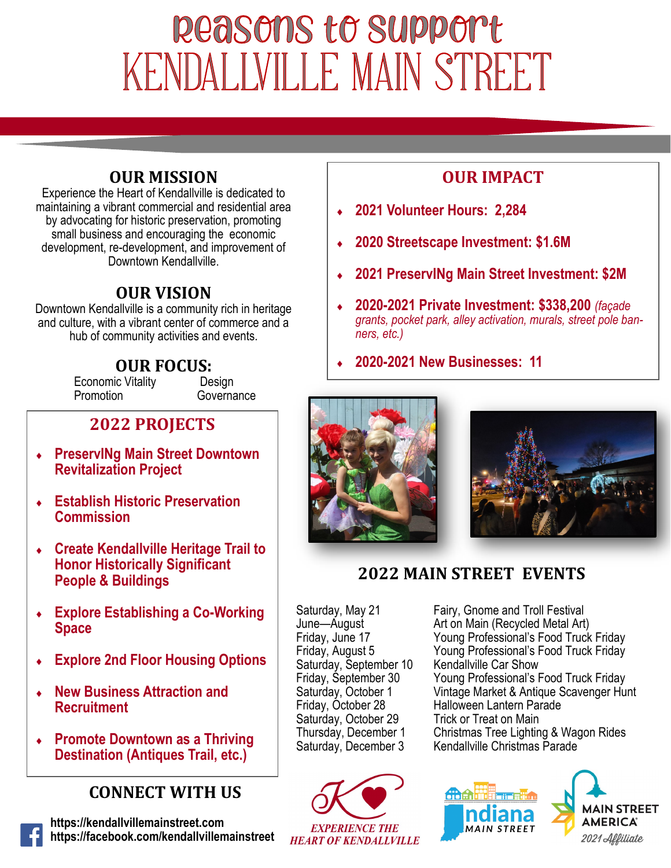# Reasons to support KENDALLVILLE MAIN STREET

#### **OUR MISSION**

Experience the Heart of Kendallville is dedicated to maintaining a vibrant commercial and residential area by advocating for historic preservation, promoting small business and encouraging the economic development, re-development, and improvement of Downtown Kendallville.

#### **OUR VISION**

Downtown Kendallville is a community rich in heritage and culture, with a vibrant center of commerce and a hub of community activities and events.

# **OUR FOCUS:**<br>ic Vitality Design

Governance

Economic Vitality<br>Promotion

## **2022 PROJECTS**

- **PreservINg Main Street Downtown Revitalization Project**
- **Establish Historic Preservation Commission**
- **Create Kendallville Heritage Trail to Honor Historically Significant People & Buildings**
- **Explore Establishing a Co-Working Space**
- **Explore 2nd Floor Housing Options**
- **New Business Attraction and Recruitment**
- **Promote Downtown as a Thriving Destination (Antiques Trail, etc.)**

### **CONNECT WITH US**

**https://kendallvillemainstreet.com https://facebook.com/kendallvillemainstreet**

### **OUR IMPACT**

- **2021 Volunteer Hours: 2,284**
- **2020 Streetscape Investment: \$1.6M**
- **2021 PreservINg Main Street Investment: \$2M**
- **2020-2021 Private Investment: \$338,200** *(façade grants, pocket park, alley activation, murals, street pole banners, etc.)*
- **2020-2021 New Businesses: 11**





### **2022 MAIN STREET EVENTS**

Saturday, September 10<br>Friday, September 30 Saturday, October 29



Saturday, May 21 Fairy, Gnome and Troll Festival<br>June—August Fair on Main (Recycled Metal Art June—August Art on Main (Recycled Metal Art)<br>
Friday, June 17 Triday, Art and Moung Professional's Food Truck Friday, June 17 **Filter Coung Professional's Food Truck Friday**<br>Friday, August 5 **Filter Coung Professional's Food Truck Friday** Young Professional's Food Truck Friday<br>Kendallville Car Show Friday, September 30 Young Professional's Food Truck Friday<br>Saturday, October 1 Vintage Market & Antique Scavenger Hui Saturday, October 1 Vintage Market & Antique Scavenger Hunt<br>Friday, October 28 Halloween Lantern Parade Halloween Lantern Parade<br>Trick or Treat on Main Thursday, December 1 Christmas Tree Lighting & Wagon Rides<br>Saturday, December 3 Kendallville Christmas Parade Kendallville Christmas Parade